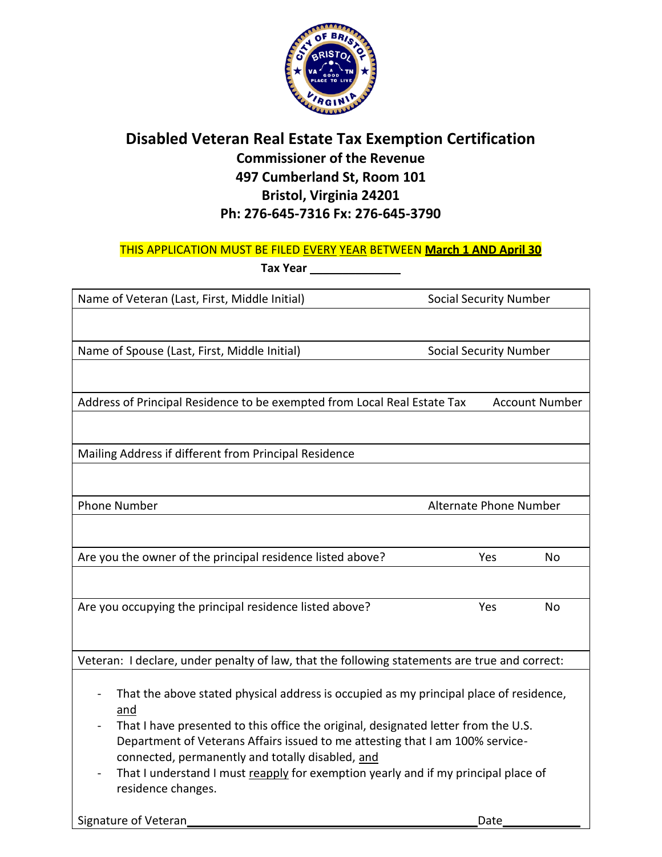

## **Disabled Veteran Real Estate Tax Exemption Certification Commissioner of the Revenue 497 Cumberland St, Room 101 Bristol, Virginia 24201 Ph: 276-645-7316 Fx: 276-645-3790**

#### THIS APPLICATION MUST BE FILED EVERY YEAR BETWEEN **March 1 AND April 30**

**Tax Year \_\_\_\_\_\_\_\_\_\_\_\_\_\_**

| Name of Veteran (Last, First, Middle Initial)                                                                                                                                                                                                                                                                                                                                                                                        | <b>Social Security Number</b> |                       |
|--------------------------------------------------------------------------------------------------------------------------------------------------------------------------------------------------------------------------------------------------------------------------------------------------------------------------------------------------------------------------------------------------------------------------------------|-------------------------------|-----------------------|
|                                                                                                                                                                                                                                                                                                                                                                                                                                      |                               |                       |
| Name of Spouse (Last, First, Middle Initial)                                                                                                                                                                                                                                                                                                                                                                                         | <b>Social Security Number</b> |                       |
|                                                                                                                                                                                                                                                                                                                                                                                                                                      |                               |                       |
| Address of Principal Residence to be exempted from Local Real Estate Tax                                                                                                                                                                                                                                                                                                                                                             |                               | <b>Account Number</b> |
|                                                                                                                                                                                                                                                                                                                                                                                                                                      |                               |                       |
| Mailing Address if different from Principal Residence                                                                                                                                                                                                                                                                                                                                                                                |                               |                       |
|                                                                                                                                                                                                                                                                                                                                                                                                                                      |                               |                       |
| <b>Phone Number</b><br>Alternate Phone Number                                                                                                                                                                                                                                                                                                                                                                                        |                               |                       |
|                                                                                                                                                                                                                                                                                                                                                                                                                                      |                               |                       |
| Are you the owner of the principal residence listed above?                                                                                                                                                                                                                                                                                                                                                                           | Yes                           | No                    |
|                                                                                                                                                                                                                                                                                                                                                                                                                                      |                               |                       |
| Are you occupying the principal residence listed above?                                                                                                                                                                                                                                                                                                                                                                              | Yes                           | No                    |
|                                                                                                                                                                                                                                                                                                                                                                                                                                      |                               |                       |
| Veteran: I declare, under penalty of law, that the following statements are true and correct:                                                                                                                                                                                                                                                                                                                                        |                               |                       |
| That the above stated physical address is occupied as my principal place of residence,<br>and<br>That I have presented to this office the original, designated letter from the U.S.<br>Department of Veterans Affairs issued to me attesting that I am 100% service-<br>connected, permanently and totally disabled, and<br>That I understand I must reapply for exemption yearly and if my principal place of<br>residence changes. |                               |                       |
| Signature of Veteran                                                                                                                                                                                                                                                                                                                                                                                                                 | Date                          |                       |